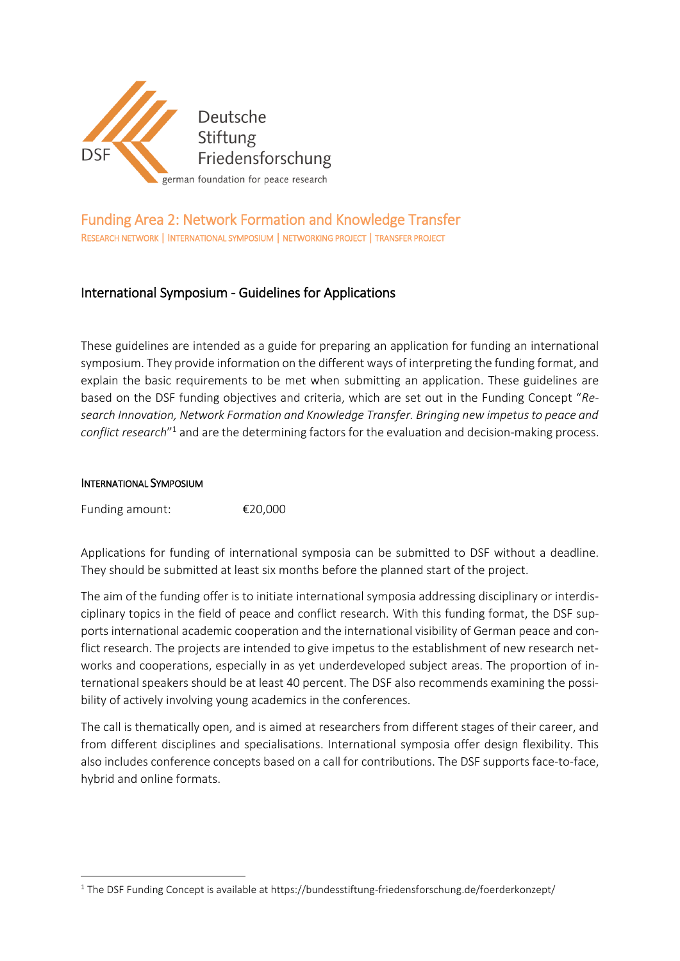

# Funding Area 2: Network Formation and Knowledge Transfer RESEARCH NETWORK | INTERNATIONAL SYMPOSIUM | NETWORKING PROJECT | TRANSFER PROJECT

# International Symposium - Guidelines for Applications

These guidelines are intended as a guide for preparing an application for funding an international symposium. They provide information on the different ways of interpreting the funding format, and explain the basic requirements to be met when submitting an application. These guidelines are based on the DSF funding objectives and criteria, which are set out in the Funding Concept "*Research Innovation, Network Formation and Knowledge Transfer. Bringing new impetus to peace and conflict research*" <sup>1</sup> and are the determining factors for the evaluation and decision-making process.

#### INTERNATIONAL SYMPOSIUM

**.** 

Funding amount: €20,000

Applications for funding of international symposia can be submitted to DSF without a deadline. They should be submitted at least six months before the planned start of the project.

The aim of the funding offer is to initiate international symposia addressing disciplinary or interdisciplinary topics in the field of peace and conflict research. With this funding format, the DSF supports international academic cooperation and the international visibility of German peace and conflict research. The projects are intended to give impetus to the establishment of new research networks and cooperations, especially in as yet underdeveloped subject areas. The proportion of international speakers should be at least 40 percent. The DSF also recommends examining the possibility of actively involving young academics in the conferences.

The call is thematically open, and is aimed at researchers from different stages of their career, and from different disciplines and specialisations. International symposia offer design flexibility. This also includes conference concepts based on a call for contributions. The DSF supports face-to-face, hybrid and online formats.

<sup>&</sup>lt;sup>1</sup> The DSF Funding Concept is available at https://bundesstiftung-friedensforschung.de/foerderkonzept/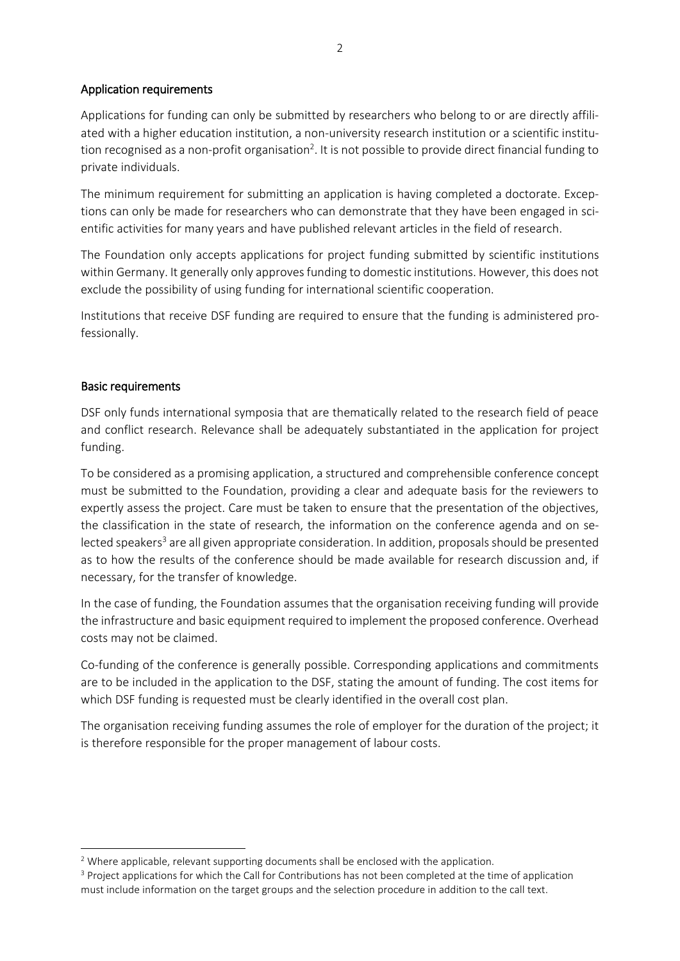## Application requirements

Applications for funding can only be submitted by researchers who belong to or are directly affiliated with a higher education institution, a non-university research institution or a scientific institution recognised as a non-profit organisation<sup>2</sup>. It is not possible to provide direct financial funding to private individuals.

The minimum requirement for submitting an application is having completed a doctorate. Exceptions can only be made for researchers who can demonstrate that they have been engaged in scientific activities for many years and have published relevant articles in the field of research.

The Foundation only accepts applications for project funding submitted by scientific institutions within Germany. It generally only approves funding to domestic institutions. However, this does not exclude the possibility of using funding for international scientific cooperation.

Institutions that receive DSF funding are required to ensure that the funding is administered professionally.

## Basic requirements

DSF only funds international symposia that are thematically related to the research field of peace and conflict research. Relevance shall be adequately substantiated in the application for project funding.

To be considered as a promising application, a structured and comprehensible conference concept must be submitted to the Foundation, providing a clear and adequate basis for the reviewers to expertly assess the project. Care must be taken to ensure that the presentation of the objectives, the classification in the state of research, the information on the conference agenda and on selected speakers<sup>3</sup> are all given appropriate consideration. In addition, proposals should be presented as to how the results of the conference should be made available for research discussion and, if necessary, for the transfer of knowledge.

In the case of funding, the Foundation assumes that the organisation receiving funding will provide the infrastructure and basic equipment required to implement the proposed conference. Overhead costs may not be claimed.

Co-funding of the conference is generally possible. Corresponding applications and commitments are to be included in the application to the DSF, stating the amount of funding. The cost items for which DSF funding is requested must be clearly identified in the overall cost plan.

The organisation receiving funding assumes the role of employer for the duration of the project; it is therefore responsible for the proper management of labour costs.

**<sup>.</sup>**  $2$  Where applicable, relevant supporting documents shall be enclosed with the application.

<sup>&</sup>lt;sup>3</sup> Project applications for which the Call for Contributions has not been completed at the time of application must include information on the target groups and the selection procedure in addition to the call text.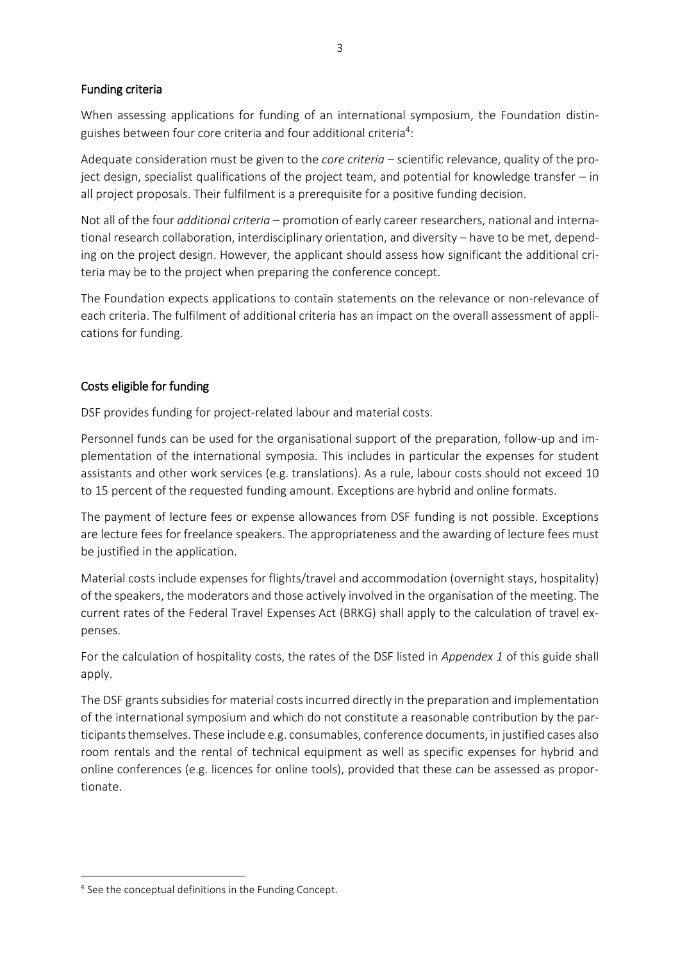## Funding criteria

When assessing applications for funding of an international symposium, the Foundation distinguishes between four core criteria and four additional criteria<sup>4</sup>:

Adequate consideration must be given to the *core criteria* – scientific relevance, quality of the project design, specialist qualifications of the project team, and potential for knowledge transfer – in all project proposals. Their fulfilment is a prerequisite for a positive funding decision.

Not all of the four *additional criteria* – promotion of early career researchers, national and international research collaboration, interdisciplinary orientation, and diversity – have to be met, depending on the project design. However, the applicant should assess how significant the additional criteria may be to the project when preparing the conference concept.

The Foundation expects applications to contain statements on the relevance or non-relevance of each criteria. The fulfilment of additional criteria has an impact on the overall assessment of applications for funding.

## Costs eligible for funding

DSF provides funding for project-related labour and material costs.

Personnel funds can be used for the organisational support of the preparation, follow-up and implementation of the international symposia. This includes in particular the expenses for student assistants and other work services (e.g. translations). As a rule, labour costs should not exceed 10 to 15 percent of the requested funding amount. Exceptions are hybrid and online formats.

The payment of lecture fees or expense allowances from DSF funding is not possible. Exceptions are lecture fees for freelance speakers. The appropriateness and the awarding of lecture fees must be justified in the application.

Material costs include expenses for flights/travel and accommodation (overnight stays, hospitality) of the speakers, the moderators and those actively involved in the organisation of the meeting. The current rates of the Federal Travel Expenses Act (BRKG) shall apply to the calculation of travel expenses.

For the calculation of hospitality costs, the rates of the DSF listed in *Appendex 1* of this guide shall apply.

The DSF grants subsidies for material costs incurred directly in the preparation and implementation of the international symposium and which do not constitute a reasonable contribution by the participants themselves. These include e.g. consumables, conference documents, in justified cases also room rentals and the rental of technical equipment as well as specific expenses for hybrid and online conferences (e.g. licences for online tools), provided that these can be assessed as proportionate.

**.** 

<sup>&</sup>lt;sup>4</sup> See the conceptual definitions in the Funding Concept.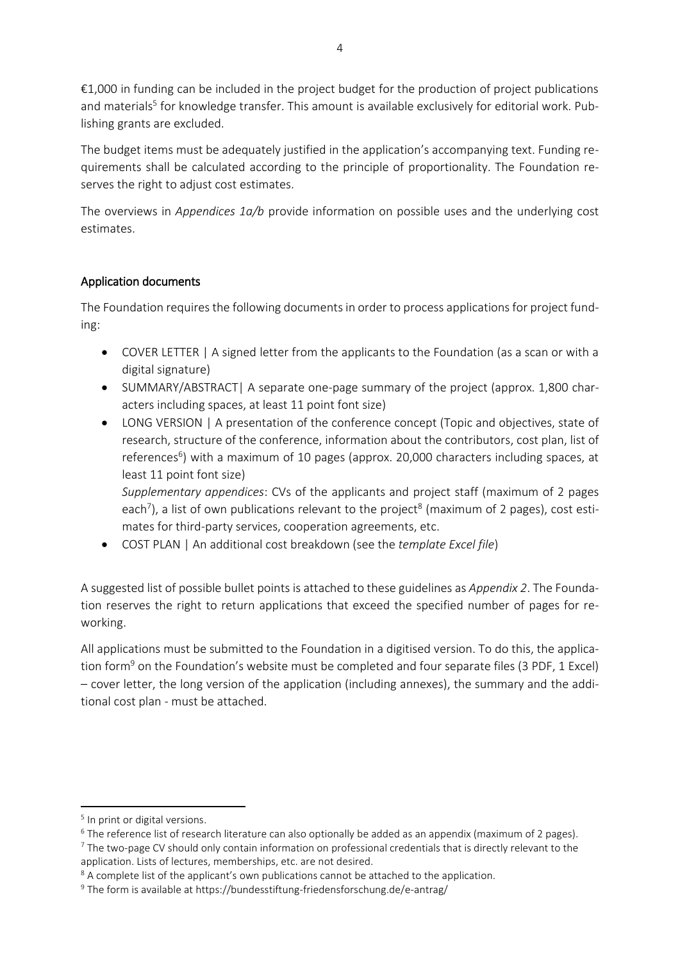€1,000 in funding can be included in the project budget for the production of project publications and materials<sup>5</sup> for knowledge transfer. This amount is available exclusively for editorial work. Publishing grants are excluded.

The budget items must be adequately justified in the application's accompanying text. Funding requirements shall be calculated according to the principle of proportionality. The Foundation reserves the right to adjust cost estimates.

The overviews in *Appendices 1a/b* provide information on possible uses and the underlying cost estimates.

## Application documents

The Foundation requires the following documents in order to process applications for project funding:

- COVER LETTER | A signed letter from the applicants to the Foundation (as a scan or with a digital signature)
- SUMMARY/ABSTRACT| A separate one-page summary of the project (approx. 1,800 characters including spaces, at least 11 point font size)
- LONG VERSION | A presentation of the conference concept (Topic and objectives, state of research, structure of the conference, information about the contributors, cost plan, list of references<sup>6</sup>) with a maximum of 10 pages (approx. 20,000 characters including spaces, at least 11 point font size)

*Supplementary appendices*: CVs of the applicants and project staff (maximum of 2 pages each<sup>7</sup>), a list of own publications relevant to the project<sup>8</sup> (maximum of 2 pages), cost estimates for third-party services, cooperation agreements, etc.

COST PLAN | An additional cost breakdown (see the *template Excel file*)

A suggested list of possible bullet points is attached to these guidelines as *Appendix 2*. The Foundation reserves the right to return applications that exceed the specified number of pages for reworking.

All applications must be submitted to the Foundation in a digitised version. To do this, the application form<sup>9</sup> on the Foundation's website must be completed and four separate files (3 PDF, 1 Excel) – cover letter, the long version of the application (including annexes), the summary and the additional cost plan - must be attached.

**.** 

<sup>&</sup>lt;sup>5</sup> In print or digital versions.

<sup>&</sup>lt;sup>6</sup> The reference list of research literature can also optionally be added as an appendix (maximum of 2 pages).

<sup>&</sup>lt;sup>7</sup> The two-page CV should only contain information on professional credentials that is directly relevant to the application. Lists of lectures, memberships, etc. are not desired.

<sup>&</sup>lt;sup>8</sup> A complete list of the applicant's own publications cannot be attached to the application.

<sup>&</sup>lt;sup>9</sup> The form is available at https://bundesstiftung-friedensforschung.de/e-antrag/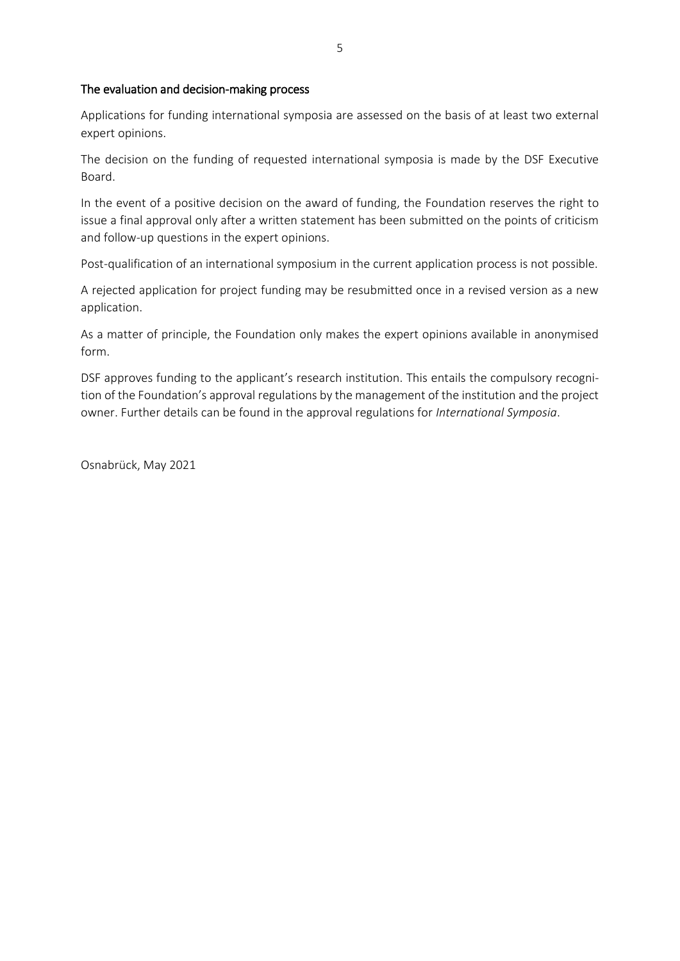#### The evaluation and decision-making process

Applications for funding international symposia are assessed on the basis of at least two external expert opinions.

The decision on the funding of requested international symposia is made by the DSF Executive Board.

In the event of a positive decision on the award of funding, the Foundation reserves the right to issue a final approval only after a written statement has been submitted on the points of criticism and follow-up questions in the expert opinions.

Post-qualification of an international symposium in the current application process is not possible.

A rejected application for project funding may be resubmitted once in a revised version as a new application.

As a matter of principle, the Foundation only makes the expert opinions available in anonymised form.

DSF approves funding to the applicant's research institution. This entails the compulsory recognition of the Foundation's approval regulations by the management of the institution and the project owner. Further details can be found in the approval regulations for *International Symposia*.

Osnabrück, May 2021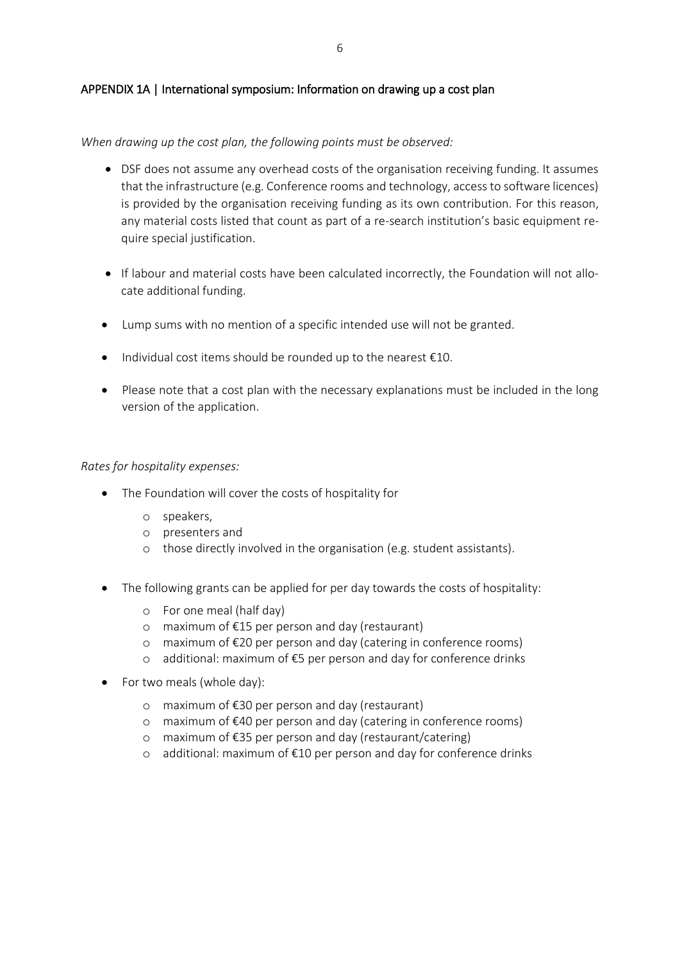### APPENDIX 1A | International symposium: Information on drawing up a cost plan

#### *When drawing up the cost plan, the following points must be observed:*

- DSF does not assume any overhead costs of the organisation receiving funding. It assumes that the infrastructure (e.g. Conference rooms and technology, access to software licences) is provided by the organisation receiving funding as its own contribution. For this reason, any material costs listed that count as part of a re-search institution's basic equipment require special justification.
- If labour and material costs have been calculated incorrectly, the Foundation will not allocate additional funding.
- Lump sums with no mention of a specific intended use will not be granted.
- $\bullet$  Individual cost items should be rounded up to the nearest  $\epsilon$ 10.
- Please note that a cost plan with the necessary explanations must be included in the long version of the application.

#### *Rates for hospitality expenses:*

- The Foundation will cover the costs of hospitality for
	- o speakers,
	- o presenters and
	- o those directly involved in the organisation (e.g. student assistants).
- The following grants can be applied for per day towards the costs of hospitality:
	- o For one meal (half day)
	- o maximum of €15 per person and day (restaurant)
	- o maximum of €20 per person and day (catering in conference rooms)
	- o additional: maximum of €5 per person and day for conference drinks
- For two meals (whole day):
	- o maximum of €30 per person and day (restaurant)
	- o maximum of €40 per person and day (catering in conference rooms)
	- o maximum of €35 per person and day (restaurant/catering)
	- o additional: maximum of €10 per person and day for conference drinks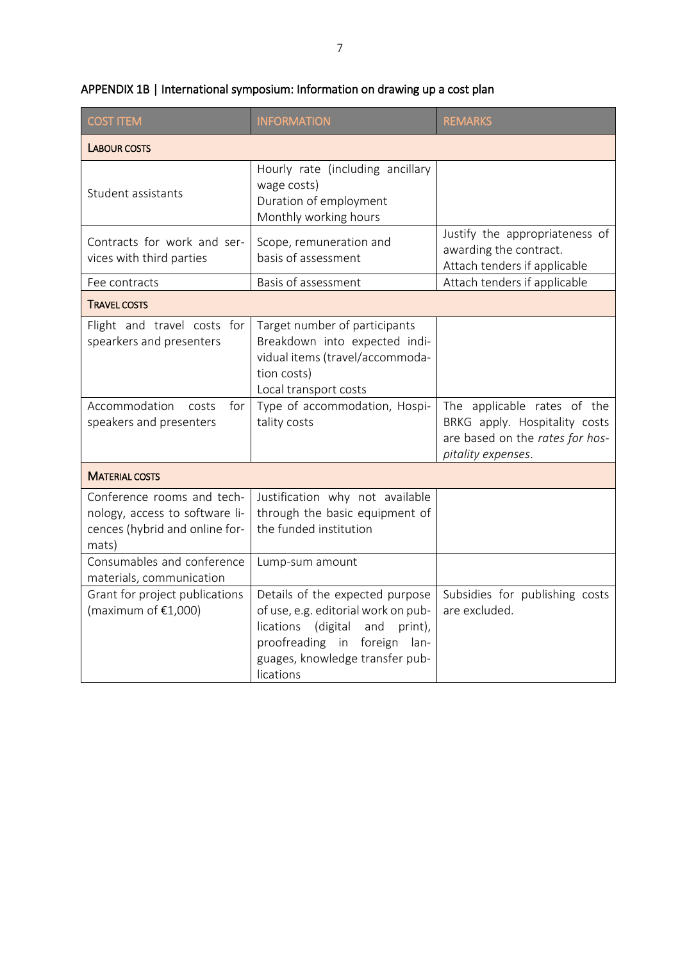| <b>COST ITEM</b>                                                                                        | <b>INFORMATION</b>                                                                                                                                                                                | <b>REMARKS</b>                                                                                                        |
|---------------------------------------------------------------------------------------------------------|---------------------------------------------------------------------------------------------------------------------------------------------------------------------------------------------------|-----------------------------------------------------------------------------------------------------------------------|
| <b>LABOUR COSTS</b>                                                                                     |                                                                                                                                                                                                   |                                                                                                                       |
| Student assistants                                                                                      | Hourly rate (including ancillary<br>wage costs)<br>Duration of employment<br>Monthly working hours                                                                                                |                                                                                                                       |
| Contracts for work and ser-<br>vices with third parties                                                 | Scope, remuneration and<br>basis of assessment                                                                                                                                                    | Justify the appropriateness of<br>awarding the contract.<br>Attach tenders if applicable                              |
| Fee contracts                                                                                           | Basis of assessment                                                                                                                                                                               | Attach tenders if applicable                                                                                          |
| <b>TRAVEL COSTS</b>                                                                                     |                                                                                                                                                                                                   |                                                                                                                       |
| Flight and travel costs for<br>spearkers and presenters                                                 | Target number of participants<br>Breakdown into expected indi-<br>vidual items (travel/accommoda-<br>tion costs)<br>Local transport costs                                                         |                                                                                                                       |
| Accommodation costs<br>for<br>speakers and presenters                                                   | Type of accommodation, Hospi-<br>tality costs                                                                                                                                                     | The applicable rates of the<br>BRKG apply. Hospitality costs<br>are based on the rates for hos-<br>pitality expenses. |
| <b>MATERIAL COSTS</b>                                                                                   |                                                                                                                                                                                                   |                                                                                                                       |
| Conference rooms and tech-<br>nology, access to software li-<br>cences (hybrid and online for-<br>mats) | Justification why not available<br>through the basic equipment of<br>the funded institution                                                                                                       |                                                                                                                       |
| Consumables and conference<br>materials, communication                                                  | Lump-sum amount                                                                                                                                                                                   |                                                                                                                       |
| Grant for project publications<br>(maximum of $£1,000$ )                                                | Details of the expected purpose<br>of use, e.g. editorial work on pub-<br>(digital<br>lications<br>and<br>print),<br>proofreading in foreign lan-<br>guages, knowledge transfer pub-<br>lications | Subsidies for publishing costs<br>are excluded.                                                                       |

# APPENDIX 1B | International symposium: Information on drawing up a cost plan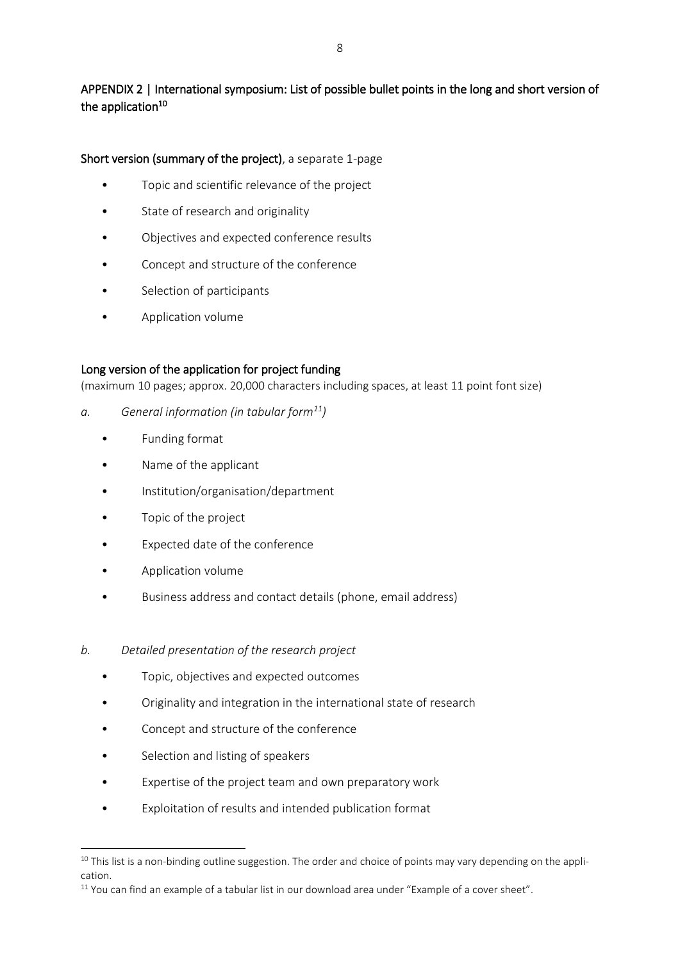# APPENDIX 2 | International symposium: List of possible bullet points in the long and short version of the application<sup>10</sup>

## Short version (summary of the project), a separate 1-page

- Topic and scientific relevance of the project
- State of research and originality
- Objectives and expected conference results
- Concept and structure of the conference
- Selection of participants
- Application volume

## Long version of the application for project funding

(maximum 10 pages; approx. 20,000 characters including spaces, at least 11 point font size)

- *a. General information (in tabular form<sup>11</sup>)*
	- Funding format
	- Name of the applicant
	- Institution/organisation/department
	- Topic of the project
	- Expected date of the conference
	- Application volume
	- Business address and contact details (phone, email address)
- *b. Detailed presentation of the research project*
	- Topic, objectives and expected outcomes
	- Originality and integration in the international state of research
	- Concept and structure of the conference
	- Selection and listing of speakers

**.** 

- Expertise of the project team and own preparatory work
- Exploitation of results and intended publication format

 $10$  This list is a non-binding outline suggestion. The order and choice of points may vary depending on the application.

<sup>&</sup>lt;sup>11</sup> You can find an example of a tabular list in our download area under "Example of a cover sheet".